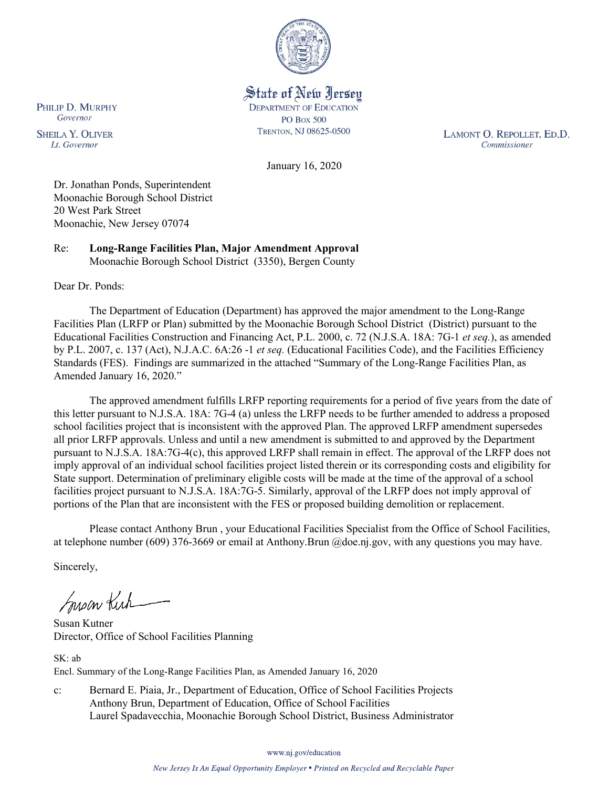

State of New Jersey **DEPARTMENT OF EDUCATION PO Box 500** TRENTON, NJ 08625-0500

LAMONT O. REPOLLET, ED.D. Commissioner

January 16, 2020

Dr. Jonathan Ponds, Superintendent Moonachie Borough School District 20 West Park Street Moonachie, New Jersey 07074

Re: **Long-Range Facilities Plan, Major Amendment Approval** Moonachie Borough School District (3350), Bergen County

Dear Dr. Ponds:

The Department of Education (Department) has approved the major amendment to the Long-Range Facilities Plan (LRFP or Plan) submitted by the Moonachie Borough School District (District) pursuant to the Educational Facilities Construction and Financing Act, P.L. 2000, c. 72 (N.J.S.A. 18A: 7G-1 *et seq.*), as amended by P.L. 2007, c. 137 (Act), N.J.A.C. 6A:26 -1 *et seq.* (Educational Facilities Code), and the Facilities Efficiency Standards (FES). Findings are summarized in the attached "Summary of the Long-Range Facilities Plan, as Amended January 16, 2020."

The approved amendment fulfills LRFP reporting requirements for a period of five years from the date of this letter pursuant to N.J.S.A. 18A: 7G-4 (a) unless the LRFP needs to be further amended to address a proposed school facilities project that is inconsistent with the approved Plan. The approved LRFP amendment supersedes all prior LRFP approvals. Unless and until a new amendment is submitted to and approved by the Department pursuant to N.J.S.A. 18A:7G-4(c), this approved LRFP shall remain in effect. The approval of the LRFP does not imply approval of an individual school facilities project listed therein or its corresponding costs and eligibility for State support. Determination of preliminary eligible costs will be made at the time of the approval of a school facilities project pursuant to N.J.S.A. 18A:7G-5. Similarly, approval of the LRFP does not imply approval of portions of the Plan that are inconsistent with the FES or proposed building demolition or replacement.

Please contact Anthony Brun , your Educational Facilities Specialist from the Office of School Facilities, at telephone number (609) 376-3669 or email at Anthony.Brun @doe.nj.gov, with any questions you may have.

Sincerely,

Susan Kich

Susan Kutner Director, Office of School Facilities Planning

SK: ab Encl. Summary of the Long-Range Facilities Plan, as Amended January 16, 2020

c: Bernard E. Piaia, Jr., Department of Education, Office of School Facilities Projects Anthony Brun, Department of Education, Office of School Facilities Laurel Spadavecchia, Moonachie Borough School District, Business Administrator

www.nj.gov/education

PHILIP D. MURPHY Governor

**SHEILA Y. OLIVER** Lt. Governor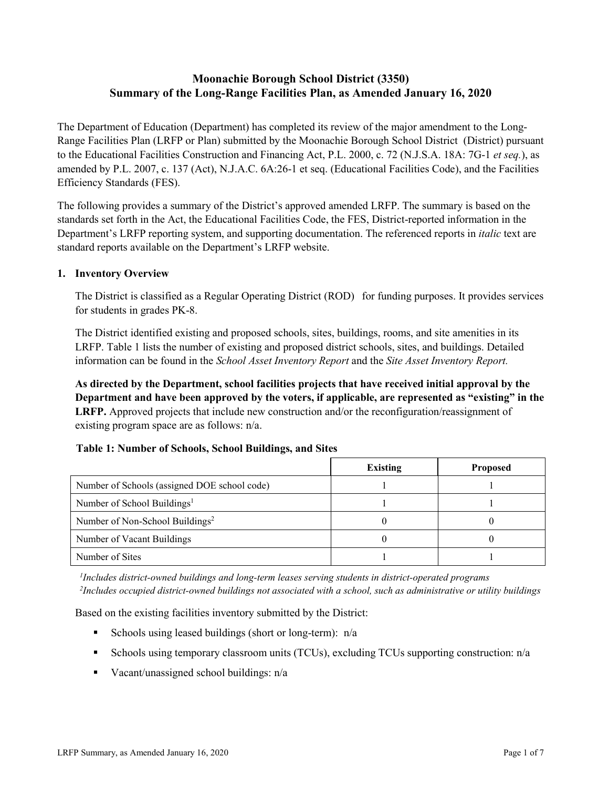# **Moonachie Borough School District (3350) Summary of the Long-Range Facilities Plan, as Amended January 16, 2020**

The Department of Education (Department) has completed its review of the major amendment to the Long-Range Facilities Plan (LRFP or Plan) submitted by the Moonachie Borough School District (District) pursuant to the Educational Facilities Construction and Financing Act, P.L. 2000, c. 72 (N.J.S.A. 18A: 7G-1 *et seq.*), as amended by P.L. 2007, c. 137 (Act), N.J.A.C. 6A:26-1 et seq. (Educational Facilities Code), and the Facilities Efficiency Standards (FES).

The following provides a summary of the District's approved amended LRFP. The summary is based on the standards set forth in the Act, the Educational Facilities Code, the FES, District-reported information in the Department's LRFP reporting system, and supporting documentation. The referenced reports in *italic* text are standard reports available on the Department's LRFP website.

### **1. Inventory Overview**

The District is classified as a Regular Operating District (ROD) for funding purposes. It provides services for students in grades PK-8.

The District identified existing and proposed schools, sites, buildings, rooms, and site amenities in its LRFP. Table 1 lists the number of existing and proposed district schools, sites, and buildings. Detailed information can be found in the *School Asset Inventory Report* and the *Site Asset Inventory Report.*

**As directed by the Department, school facilities projects that have received initial approval by the Department and have been approved by the voters, if applicable, are represented as "existing" in the LRFP.** Approved projects that include new construction and/or the reconfiguration/reassignment of existing program space are as follows: n/a.

#### **Table 1: Number of Schools, School Buildings, and Sites**

|                                              | <b>Existing</b> | <b>Proposed</b> |
|----------------------------------------------|-----------------|-----------------|
| Number of Schools (assigned DOE school code) |                 |                 |
| Number of School Buildings <sup>1</sup>      |                 |                 |
| Number of Non-School Buildings <sup>2</sup>  |                 |                 |
| Number of Vacant Buildings                   |                 |                 |
| Number of Sites                              |                 |                 |

*1 Includes district-owned buildings and long-term leases serving students in district-operated programs 2 Includes occupied district-owned buildings not associated with a school, such as administrative or utility buildings*

Based on the existing facilities inventory submitted by the District:

- Schools using leased buildings (short or long-term):  $n/a$
- Schools using temporary classroom units (TCUs), excluding TCUs supporting construction: n/a
- Vacant/unassigned school buildings:  $n/a$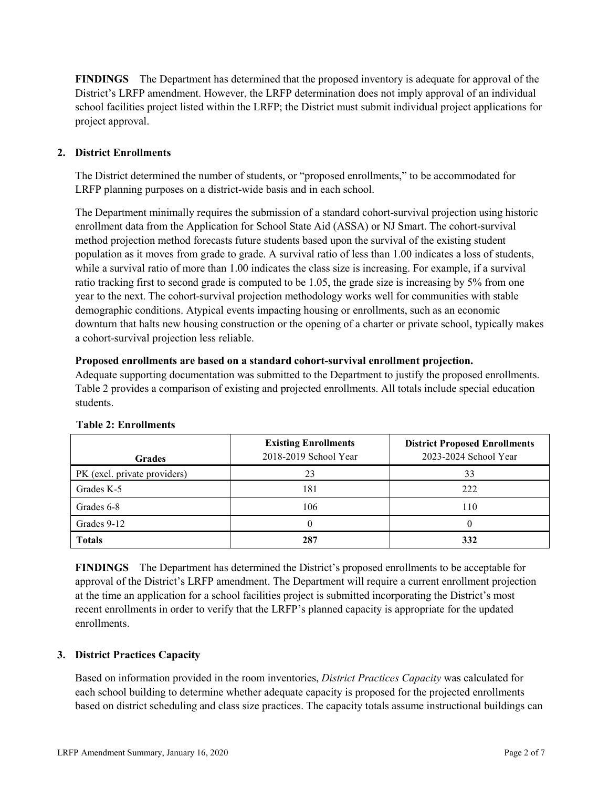**FINDINGS** The Department has determined that the proposed inventory is adequate for approval of the District's LRFP amendment. However, the LRFP determination does not imply approval of an individual school facilities project listed within the LRFP; the District must submit individual project applications for project approval.

# **2. District Enrollments**

The District determined the number of students, or "proposed enrollments," to be accommodated for LRFP planning purposes on a district-wide basis and in each school.

The Department minimally requires the submission of a standard cohort-survival projection using historic enrollment data from the Application for School State Aid (ASSA) or NJ Smart. The cohort-survival method projection method forecasts future students based upon the survival of the existing student population as it moves from grade to grade. A survival ratio of less than 1.00 indicates a loss of students, while a survival ratio of more than 1.00 indicates the class size is increasing. For example, if a survival ratio tracking first to second grade is computed to be 1.05, the grade size is increasing by 5% from one year to the next. The cohort-survival projection methodology works well for communities with stable demographic conditions. Atypical events impacting housing or enrollments, such as an economic downturn that halts new housing construction or the opening of a charter or private school, typically makes a cohort-survival projection less reliable.

### **Proposed enrollments are based on a standard cohort-survival enrollment projection.**

Adequate supporting documentation was submitted to the Department to justify the proposed enrollments. Table 2 provides a comparison of existing and projected enrollments. All totals include special education students.

| <b>Grades</b>                | <b>Existing Enrollments</b><br>2018-2019 School Year | <b>District Proposed Enrollments</b><br>2023-2024 School Year |
|------------------------------|------------------------------------------------------|---------------------------------------------------------------|
| PK (excl. private providers) | 23                                                   | 33                                                            |
| Grades K-5                   | 181                                                  | 222                                                           |
| Grades 6-8                   | 106                                                  | 110                                                           |
| Grades 9-12                  |                                                      |                                                               |
| <b>Totals</b>                | 287                                                  | 332                                                           |

# **Table 2: Enrollments**

**FINDINGS** The Department has determined the District's proposed enrollments to be acceptable for approval of the District's LRFP amendment. The Department will require a current enrollment projection at the time an application for a school facilities project is submitted incorporating the District's most recent enrollments in order to verify that the LRFP's planned capacity is appropriate for the updated enrollments.

# **3. District Practices Capacity**

Based on information provided in the room inventories, *District Practices Capacity* was calculated for each school building to determine whether adequate capacity is proposed for the projected enrollments based on district scheduling and class size practices. The capacity totals assume instructional buildings can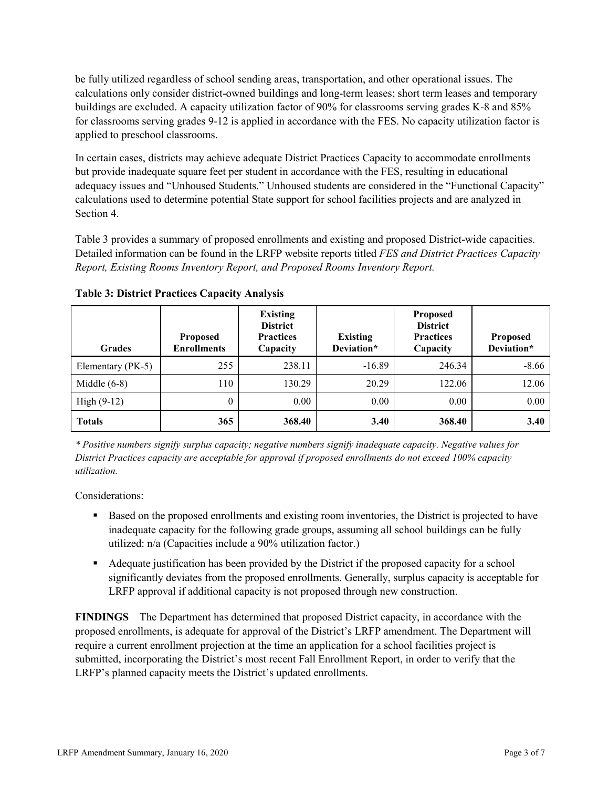be fully utilized regardless of school sending areas, transportation, and other operational issues. The calculations only consider district-owned buildings and long-term leases; short term leases and temporary buildings are excluded. A capacity utilization factor of 90% for classrooms serving grades K-8 and 85% for classrooms serving grades 9-12 is applied in accordance with the FES. No capacity utilization factor is applied to preschool classrooms.

In certain cases, districts may achieve adequate District Practices Capacity to accommodate enrollments but provide inadequate square feet per student in accordance with the FES, resulting in educational adequacy issues and "Unhoused Students." Unhoused students are considered in the "Functional Capacity" calculations used to determine potential State support for school facilities projects and are analyzed in Section 4.

Table 3 provides a summary of proposed enrollments and existing and proposed District-wide capacities. Detailed information can be found in the LRFP website reports titled *FES and District Practices Capacity Report, Existing Rooms Inventory Report, and Proposed Rooms Inventory Report.*

| <b>Grades</b>     | <b>Proposed</b><br><b>Enrollments</b> | <b>Existing</b><br><b>District</b><br><b>Practices</b><br>Capacity | <b>Existing</b><br>Deviation* | <b>Proposed</b><br><b>District</b><br><b>Practices</b><br>Capacity | <b>Proposed</b><br>Deviation* |
|-------------------|---------------------------------------|--------------------------------------------------------------------|-------------------------------|--------------------------------------------------------------------|-------------------------------|
| Elementary (PK-5) | 255                                   | 238.11                                                             | $-16.89$                      | 246.34                                                             | $-8.66$                       |
| Middle $(6-8)$    | 110                                   | 130.29                                                             | 20.29                         | 122.06                                                             | 12.06                         |
| High $(9-12)$     | $\theta$                              | 0.00                                                               | 0.00                          | 0.00                                                               | 0.00                          |
| <b>Totals</b>     | 365                                   | 368.40                                                             | 3.40                          | 368.40                                                             | 3.40                          |

**Table 3: District Practices Capacity Analysis**

*\* Positive numbers signify surplus capacity; negative numbers signify inadequate capacity. Negative values for District Practices capacity are acceptable for approval if proposed enrollments do not exceed 100% capacity utilization.*

Considerations:

- **Based on the proposed enrollments and existing room inventories, the District is projected to have** inadequate capacity for the following grade groups, assuming all school buildings can be fully utilized: n/a (Capacities include a 90% utilization factor.)
- Adequate justification has been provided by the District if the proposed capacity for a school significantly deviates from the proposed enrollments. Generally, surplus capacity is acceptable for LRFP approval if additional capacity is not proposed through new construction.

**FINDINGS**The Department has determined that proposed District capacity, in accordance with the proposed enrollments, is adequate for approval of the District's LRFP amendment. The Department will require a current enrollment projection at the time an application for a school facilities project is submitted, incorporating the District's most recent Fall Enrollment Report, in order to verify that the LRFP's planned capacity meets the District's updated enrollments.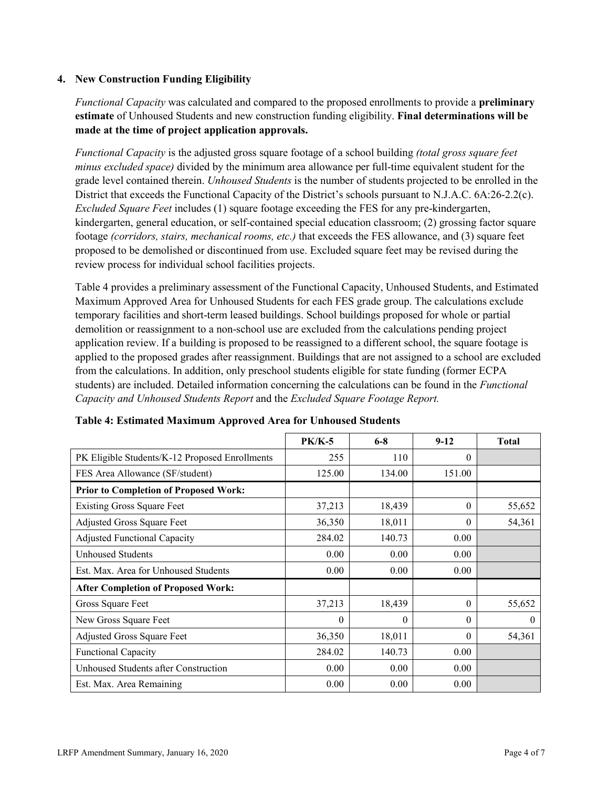### **4. New Construction Funding Eligibility**

*Functional Capacity* was calculated and compared to the proposed enrollments to provide a **preliminary estimate** of Unhoused Students and new construction funding eligibility. **Final determinations will be made at the time of project application approvals.**

*Functional Capacity* is the adjusted gross square footage of a school building *(total gross square feet minus excluded space)* divided by the minimum area allowance per full-time equivalent student for the grade level contained therein. *Unhoused Students* is the number of students projected to be enrolled in the District that exceeds the Functional Capacity of the District's schools pursuant to N.J.A.C. 6A:26-2.2(c). *Excluded Square Feet* includes (1) square footage exceeding the FES for any pre-kindergarten, kindergarten, general education, or self-contained special education classroom; (2) grossing factor square footage *(corridors, stairs, mechanical rooms, etc.)* that exceeds the FES allowance, and (3) square feet proposed to be demolished or discontinued from use. Excluded square feet may be revised during the review process for individual school facilities projects.

Table 4 provides a preliminary assessment of the Functional Capacity, Unhoused Students, and Estimated Maximum Approved Area for Unhoused Students for each FES grade group. The calculations exclude temporary facilities and short-term leased buildings. School buildings proposed for whole or partial demolition or reassignment to a non-school use are excluded from the calculations pending project application review. If a building is proposed to be reassigned to a different school, the square footage is applied to the proposed grades after reassignment. Buildings that are not assigned to a school are excluded from the calculations. In addition, only preschool students eligible for state funding (former ECPA students) are included. Detailed information concerning the calculations can be found in the *Functional Capacity and Unhoused Students Report* and the *Excluded Square Footage Report.*

|                                                | <b>PK/K-5</b> | $6 - 8$  | $9 - 12$ | <b>Total</b> |
|------------------------------------------------|---------------|----------|----------|--------------|
| PK Eligible Students/K-12 Proposed Enrollments | 255           | 110      | $\theta$ |              |
| FES Area Allowance (SF/student)                | 125.00        | 134.00   | 151.00   |              |
| <b>Prior to Completion of Proposed Work:</b>   |               |          |          |              |
| <b>Existing Gross Square Feet</b>              | 37,213        | 18,439   | $\theta$ | 55,652       |
| Adjusted Gross Square Feet                     | 36,350        | 18,011   | $\theta$ | 54,361       |
| <b>Adjusted Functional Capacity</b>            | 284.02        | 140.73   | 0.00     |              |
| <b>Unhoused Students</b>                       | 0.00          | 0.00     | 0.00     |              |
| Est. Max. Area for Unhoused Students           | 0.00          | 0.00     | 0.00     |              |
| <b>After Completion of Proposed Work:</b>      |               |          |          |              |
| Gross Square Feet                              | 37,213        | 18,439   | $\theta$ | 55,652       |
| New Gross Square Feet                          | $\theta$      | $\theta$ | $\Omega$ | $\theta$     |
| Adjusted Gross Square Feet                     | 36,350        | 18,011   | $\Omega$ | 54,361       |
| <b>Functional Capacity</b>                     | 284.02        | 140.73   | 0.00     |              |
| Unhoused Students after Construction           | 0.00          | 0.00     | 0.00     |              |
| Est. Max. Area Remaining                       | 0.00          | 0.00     | 0.00     |              |

#### **Table 4: Estimated Maximum Approved Area for Unhoused Students**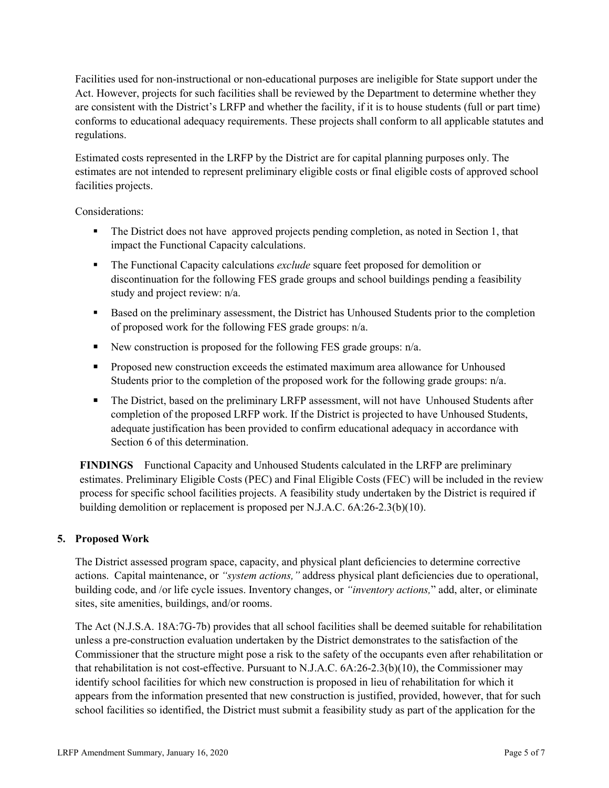Facilities used for non-instructional or non-educational purposes are ineligible for State support under the Act. However, projects for such facilities shall be reviewed by the Department to determine whether they are consistent with the District's LRFP and whether the facility, if it is to house students (full or part time) conforms to educational adequacy requirements. These projects shall conform to all applicable statutes and regulations.

Estimated costs represented in the LRFP by the District are for capital planning purposes only. The estimates are not intended to represent preliminary eligible costs or final eligible costs of approved school facilities projects.

Considerations:

- The District does not have approved projects pending completion, as noted in Section 1, that impact the Functional Capacity calculations.
- The Functional Capacity calculations *exclude* square feet proposed for demolition or discontinuation for the following FES grade groups and school buildings pending a feasibility study and project review: n/a.
- Based on the preliminary assessment, the District has Unhoused Students prior to the completion of proposed work for the following FES grade groups: n/a.
- New construction is proposed for the following FES grade groups:  $n/a$ .
- **Proposed new construction exceeds the estimated maximum area allowance for Unhoused** Students prior to the completion of the proposed work for the following grade groups: n/a.
- The District, based on the preliminary LRFP assessment, will not have Unhoused Students after completion of the proposed LRFP work. If the District is projected to have Unhoused Students, adequate justification has been provided to confirm educational adequacy in accordance with Section 6 of this determination.

**FINDINGS** Functional Capacity and Unhoused Students calculated in the LRFP are preliminary estimates. Preliminary Eligible Costs (PEC) and Final Eligible Costs (FEC) will be included in the review process for specific school facilities projects. A feasibility study undertaken by the District is required if building demolition or replacement is proposed per N.J.A.C. 6A:26-2.3(b)(10).

# **5. Proposed Work**

The District assessed program space, capacity, and physical plant deficiencies to determine corrective actions. Capital maintenance, or *"system actions,"* address physical plant deficiencies due to operational, building code, and /or life cycle issues. Inventory changes, or *"inventory actions,*" add, alter, or eliminate sites, site amenities, buildings, and/or rooms.

The Act (N.J.S.A. 18A:7G-7b) provides that all school facilities shall be deemed suitable for rehabilitation unless a pre-construction evaluation undertaken by the District demonstrates to the satisfaction of the Commissioner that the structure might pose a risk to the safety of the occupants even after rehabilitation or that rehabilitation is not cost-effective. Pursuant to N.J.A.C. 6A:26-2.3(b)(10), the Commissioner may identify school facilities for which new construction is proposed in lieu of rehabilitation for which it appears from the information presented that new construction is justified, provided, however, that for such school facilities so identified, the District must submit a feasibility study as part of the application for the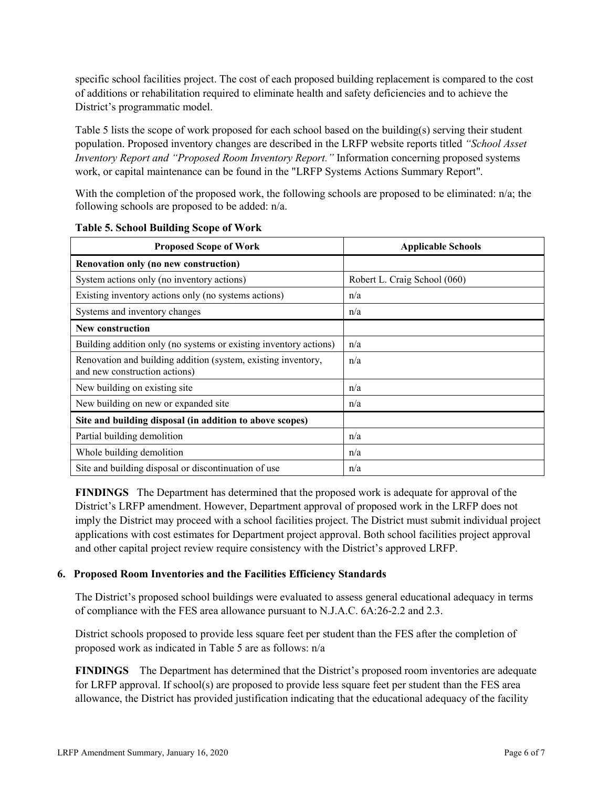specific school facilities project. The cost of each proposed building replacement is compared to the cost of additions or rehabilitation required to eliminate health and safety deficiencies and to achieve the District's programmatic model.

Table 5 lists the scope of work proposed for each school based on the building(s) serving their student population. Proposed inventory changes are described in the LRFP website reports titled *"School Asset Inventory Report and "Proposed Room Inventory Report."* Information concerning proposed systems work, or capital maintenance can be found in the "LRFP Systems Actions Summary Report".

With the completion of the proposed work, the following schools are proposed to be eliminated: n/a; the following schools are proposed to be added: n/a.

| <b>Proposed Scope of Work</b>                                                                  | <b>Applicable Schools</b>    |
|------------------------------------------------------------------------------------------------|------------------------------|
| Renovation only (no new construction)                                                          |                              |
| System actions only (no inventory actions)                                                     | Robert L. Craig School (060) |
| Existing inventory actions only (no systems actions)                                           | n/a                          |
| Systems and inventory changes                                                                  | n/a                          |
| <b>New construction</b>                                                                        |                              |
| Building addition only (no systems or existing inventory actions)                              | n/a                          |
| Renovation and building addition (system, existing inventory,<br>and new construction actions) | n/a                          |
| New building on existing site                                                                  | n/a                          |
| New building on new or expanded site                                                           | n/a                          |
| Site and building disposal (in addition to above scopes)                                       |                              |
| Partial building demolition                                                                    | n/a                          |
| Whole building demolition                                                                      | n/a                          |
| Site and building disposal or discontinuation of use                                           | n/a                          |

**Table 5. School Building Scope of Work**

**FINDINGS** The Department has determined that the proposed work is adequate for approval of the District's LRFP amendment. However, Department approval of proposed work in the LRFP does not imply the District may proceed with a school facilities project. The District must submit individual project applications with cost estimates for Department project approval. Both school facilities project approval and other capital project review require consistency with the District's approved LRFP.

#### **6. Proposed Room Inventories and the Facilities Efficiency Standards**

The District's proposed school buildings were evaluated to assess general educational adequacy in terms of compliance with the FES area allowance pursuant to N.J.A.C. 6A:26-2.2 and 2.3.

District schools proposed to provide less square feet per student than the FES after the completion of proposed work as indicated in Table 5 are as follows: n/a

**FINDINGS** The Department has determined that the District's proposed room inventories are adequate for LRFP approval. If school(s) are proposed to provide less square feet per student than the FES area allowance, the District has provided justification indicating that the educational adequacy of the facility